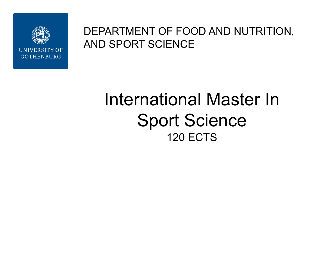

### DEPARTMENT OF FOOD AND NUTRITION, AND SPORT SCIENCE

# International Master In Sport Science 120 ECTS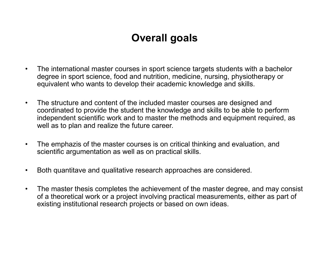### **Overall goals**

- The international master courses in sport science targets students with a bachelor degree in sport science, food and nutrition, medicine, nursing, physiotherapy or equivalent who wants to develop their academic knowledge and skills.
- The structure and content of the included master courses are designed and coordinated to provide the student the knowledge and skills to be able to perform independent scientific work and to master the methods and equipment required, as well as to plan and realize the future career.
- The emphazis of the master courses is on critical thinking and evaluation, and scientific argumentation as well as on practical skills.
- Both quantitave and qualitative research approaches are considered.
- The master thesis completes the achievement of the master degree, and may consist of a theoretical work or a project involving practical measurements, either as part of existing institutional research projects or based on own ideas.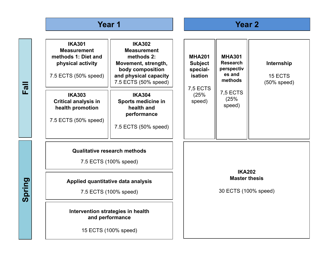### **Year 1 Year 2**

**Fall**

**Spring**

| <b>IKA301</b><br><b>Measurement</b><br>methods 1: Diet and<br>physical activity<br>7.5 ECTS (50% speed) | <b>IKA302</b><br><b>Measurement</b><br>methods 2:<br>Movement, strength,<br>body composition<br>and physical capacity<br>7.5 ECTS (50% speed) | <b>MHA201</b><br><b>Subject</b><br>special-<br>isation<br><b>7,5 ECTS</b> |                                                               | <b>MHA301</b><br><b>Research</b><br>perspectiv<br>es and<br>methods<br><b>7,5 ECTS</b><br>(25%<br>speed) | Internship<br>15 ECTS<br>$(50\%$ speed) |  |
|---------------------------------------------------------------------------------------------------------|-----------------------------------------------------------------------------------------------------------------------------------------------|---------------------------------------------------------------------------|---------------------------------------------------------------|----------------------------------------------------------------------------------------------------------|-----------------------------------------|--|
| <b>IKA303</b><br><b>Critical analysis in</b><br>health promotion<br>7.5 ECTS (50% speed)                | <b>IKA304</b><br>Sports medicine in<br>health and<br>performance<br>7.5 ECTS (50% speed)                                                      | (25%<br>speed)                                                            |                                                               |                                                                                                          |                                         |  |
| <b>Qualitative research methods</b><br>7.5 ECTS (100% speed)                                            |                                                                                                                                               |                                                                           | <b>IKA202</b><br><b>Master thesis</b><br>30 ECTS (100% speed) |                                                                                                          |                                         |  |
| Applied quantitative data analysis<br>7.5 ECTS (100% speed)                                             |                                                                                                                                               |                                                                           |                                                               |                                                                                                          |                                         |  |
| Intervention strategies in health<br>and performance<br>15 ECTS (100% speed)                            |                                                                                                                                               |                                                                           |                                                               |                                                                                                          |                                         |  |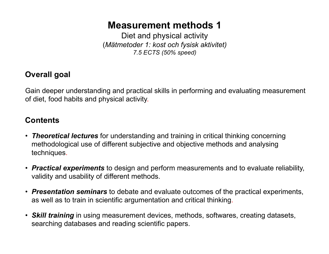### **Measurement methods 1**

Diet and physical activity (*Mätmetoder 1: kost och fysisk aktivitet) 7.5 ECTS (50% speed)*

### **Overall goal**

Gain deeper understanding and practical skills in performing and evaluating measurement of diet, food habits and physical activity.

- *Theoretical lectures* for understanding and training in critical thinking concerning methodological use of different subjective and objective methods and analysing techniques.
- *Practical experiments* to design and perform measurements and to evaluate reliability, validity and usability of different methods.
- *Presentation seminars* to debate and evaluate outcomes of the practical experiments, as well as to train in scientific argumentation and critical thinking.
- *Skill training* in using measurement devices, methods, softwares, creating datasets, searching databases and reading scientific papers.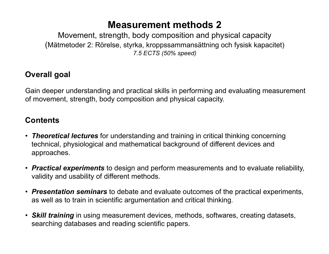### **Measurement methods 2**

Movement, strength, body composition and physical capacity (Mätmetoder 2: Rörelse, styrka, kroppssammansättning och fysisk kapacitet) *7.5 ECTS (50% speed)*

### **Overall goal**

Gain deeper understanding and practical skills in performing and evaluating measurement of movement, strength, body composition and physical capacity.

- *Theoretical lectures* for understanding and training in critical thinking concerning technical, physiological and mathematical background of different devices and approaches.
- *Practical experiments* to design and perform measurements and to evaluate reliability, validity and usability of different methods.
- *Presentation seminars* to debate and evaluate outcomes of the practical experiments, as well as to train in scientific argumentation and critical thinking.
- *Skill training* in using measurement devices, methods, softwares, creating datasets, searching databases and reading scientific papers.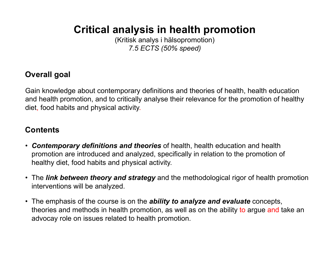### **Critical analysis in health promotion**

(Kritisk analys i hälsopromotion) *7.5 ECTS (50% speed)*

### **Overall goal**

Gain knowledge about contemporary definitions and theories of health, health education and health promotion, and to critically analyse their relevance for the promotion of healthy diet, food habits and physical activity.

- *Contemporary definitions and theories* of health, health education and health promotion are introduced and analyzed, specifically in relation to the promotion of healthy diet, food habits and physical activity.
- The *link between theory and strategy* and the methodological rigor of health promotion interventions will be analyzed.
- The emphasis of the course is on the *ability to analyze and evaluate* concepts, theories and methods in health promotion, as well as on the ability to argue and take an advocay role on issues related to health promotion.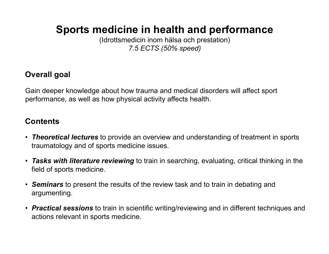### **Sports medicine in health and performance**

(Idrottsmedicin inom hälsa och prestation) *7.5 ECTS (50% speed)*

### **Overall goal**

Gain deeper knowledge about how trauma and medical disorders will affect sport performance, as well as how physical activity affects health.

- *Theoretical lectures* to provide an overview and understanding of treatment in sports traumatology and of sports medicine issues.
- *Tasks with literature reviewing* to train in searching, evaluating, critical thinking in the field of sports medicine.
- *Seminars* to present the results of the review task and to train in debating and argumenting.
- *Practical sessions* to train in scientific writing/reviewing and in different techniques and actions relevant in sports medicine.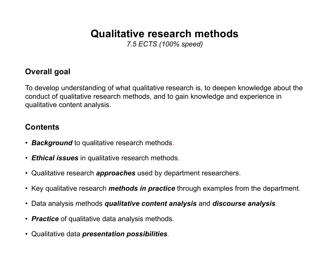### **Qualitative research methods**

*7.5 ECTS (100% speed)*

### **Overall goal**

To develop understanding of what qualitative research is, to deepen knowledge about the conduct of qualitative research methods, and to gain knowledge and experience in qualitative content analysis.

- *Background* to qualitative research methods.
- *Ethical issues* in qualitative research methods.
- Qualitative research *approaches* used by department researchers.
- Key qualitative research *methods in practice* through examples from the department.
- Data analysis methods *qualitative content analysis* and *discourse analysis.*
- *Practice* of qualitative data analysis methods.
- Qualitative data *presentation possibilities.*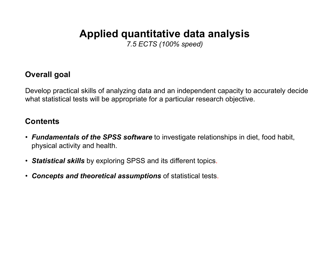### **Applied quantitative data analysis**

*7.5 ECTS (100% speed)*

### **Overall goal**

Develop practical skills of analyzing data and an independent capacity to accurately decide what statistical tests will be appropriate for a particular research objective.

- *Fundamentals of the SPSS software* to investigate relationships in diet, food habit, physical activity and health.
- *Statistical skills* by exploring SPSS and its different topics.
- *Concepts and theoretical assumptions* of statistical tests.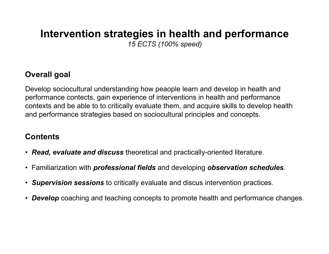### **Intervention strategies in health and performance** *15 ECTS (100% speed)*

### **Overall goal**

Develop sociocultural understanding how peaople learn and develop in health and performance contects, gain experience of interventions in health and performance contexts and be able to to critically evaluate them, and acquire skills to develop health and performance strategies based on sociocultural principles and concepts.

- *Read, evaluate and discuss* theoretical and practically-oriented literature.
- Familiarization with *professional fields* and developing *observation schedules.*
- *Supervision sessions* to critically evaluate and discus intervention practices.
- *Develop* coaching and teaching concepts to promote health and performance changes.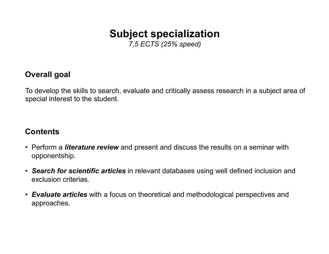### **Subject specialization**

*7,5 ECTS (25% speed)*

### **Overall goal**

To develop the skills to search, evaluate and critically assess research in a subject area of special interest to the student.

- Perform a *literature review* and present and discuss the results on a seminar with opponentship.
- *Search for scientific articles* in relevant databases using well defined inclusion and exclusion criterias.
- *Evaluate articles* with a focus on theoretical and methodological perspectives and approaches.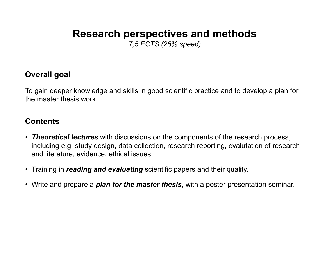## **Research perspectives and methods**

*7,5 ECTS (25% speed)*

### **Overall goal**

To gain deeper knowledge and skills in good scientific practice and to develop a plan for the master thesis work.

- *Theoretical lectures* with discussions on the components of the research process, including e.g. study design, data collection, research reporting, evalutation of research and literature, evidence, ethical issues.
- Training in *reading and evaluating* scientific papers and their quality.
- Write and prepare a *plan for the master thesis*, with a poster presentation seminar.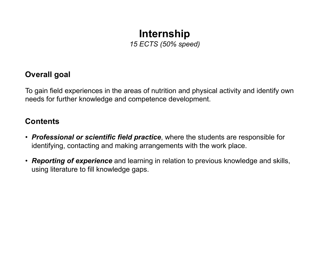### **Internship** *15 ECTS (50% speed)*

### **Overall goal**

To gain field experiences in the areas of nutrition and physical activity and identify own needs for further knowledge and competence development.

- *Professional or scientific field practice*, where the students are responsible for identifying, contacting and making arrangements with the work place.
- *Reporting of experience* and learning in relation to previous knowledge and skills, using literature to fill knowledge gaps.